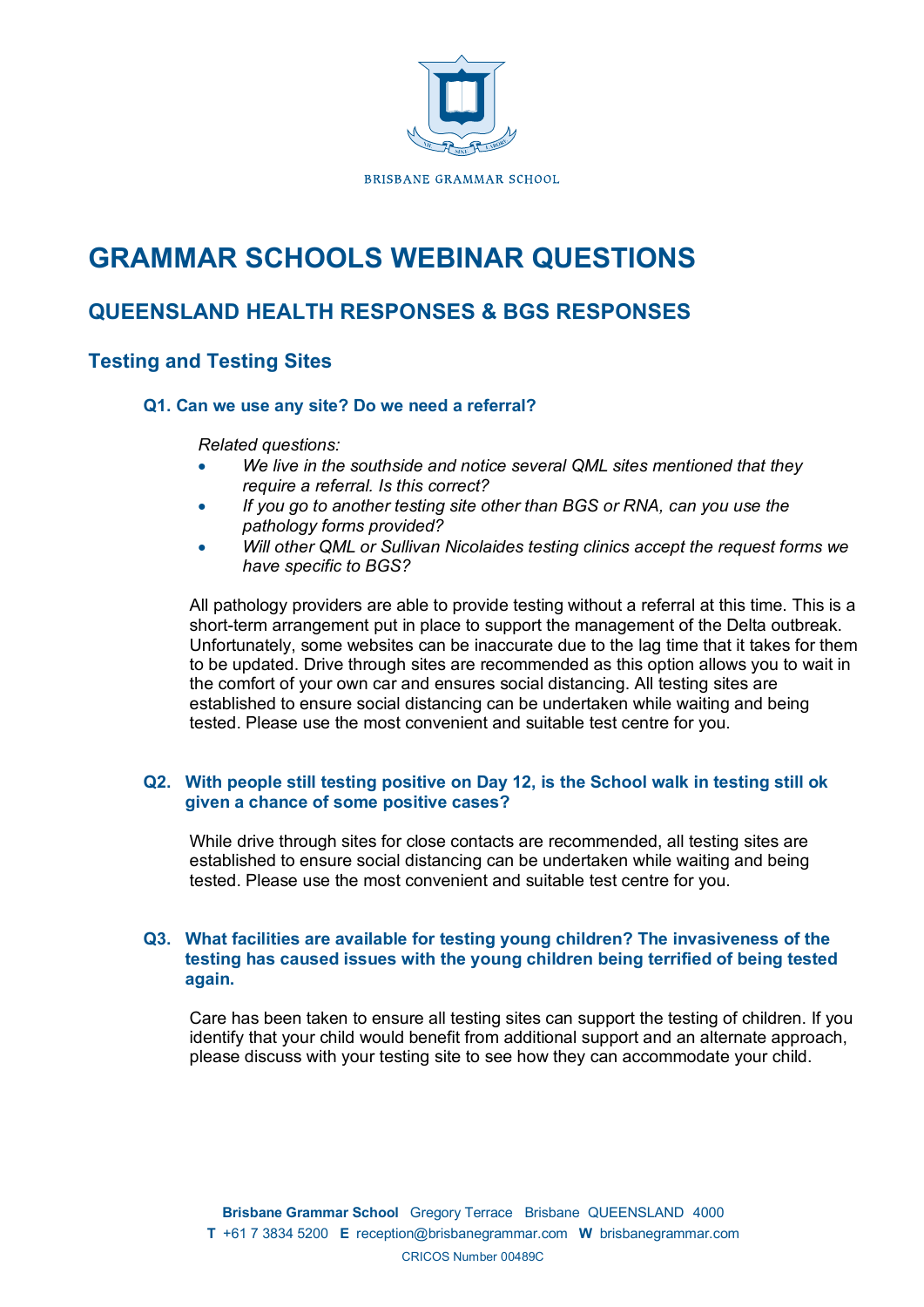

# **GRAMMAR SCHOOLS WEBINAR QUESTIONS**

# **QUEENSLAND HEALTH RESPONSES & BGS RESPONSES**

# **Testing and Testing Sites**

# **Q1. Can we use any site? Do we need a referral?**

*Related questions:*

- *We live in the southside and notice several QML sites mentioned that they require a referral. Is this correct?*
- *If you go to another testing site other than BGS or RNA, can you use the pathology forms provided?*
- *Will other QML or Sullivan Nicolaides testing clinics accept the request forms we have specific to BGS?*

All pathology providers are able to provide testing without a referral at this time. This is a short-term arrangement put in place to support the management of the Delta outbreak. Unfortunately, some websites can be inaccurate due to the lag time that it takes for them to be updated. Drive through sites are recommended as this option allows you to wait in the comfort of your own car and ensures social distancing. All testing sites are established to ensure social distancing can be undertaken while waiting and being tested. Please use the most convenient and suitable test centre for you.

# **Q2. With people still testing positive on Day 12, is the School walk in testing still ok given a chance of some positive cases?**

While drive through sites for close contacts are recommended, all testing sites are established to ensure social distancing can be undertaken while waiting and being tested. Please use the most convenient and suitable test centre for you.

# **Q3. What facilities are available for testing young children? The invasiveness of the testing has caused issues with the young children being terrified of being tested again.**

Care has been taken to ensure all testing sites can support the testing of children. If you identify that your child would benefit from additional support and an alternate approach, please discuss with your testing site to see how they can accommodate your child.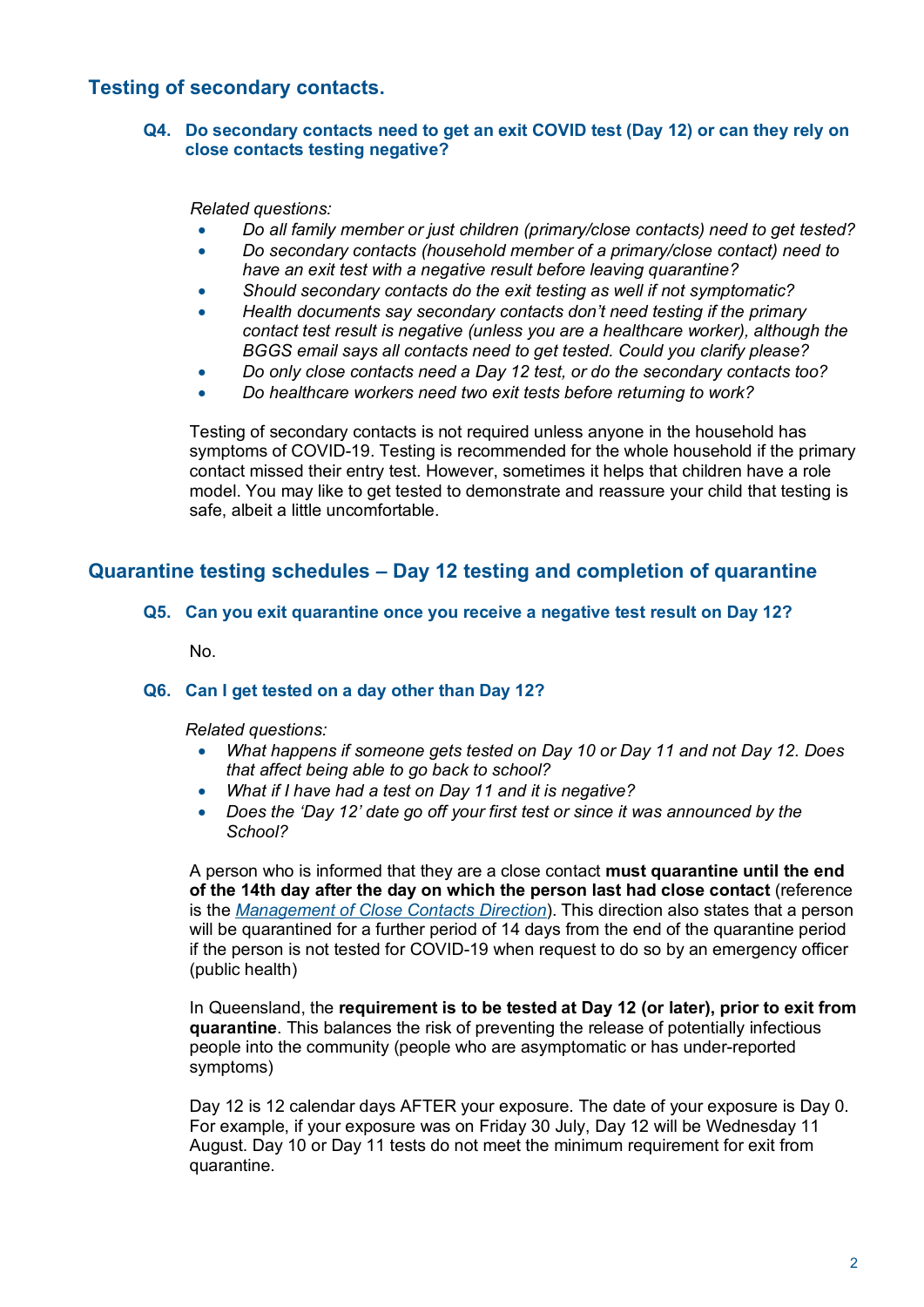# **Testing of secondary contacts.**

# **Q4. Do secondary contacts need to get an exit COVID test (Day 12) or can they rely on close contacts testing negative?**

*Related questions:*

- *Do all family member or just children (primary/close contacts) need to get tested?*
- *Do secondary contacts (household member of a primary/close contact) need to have an exit test with a negative result before leaving quarantine?*
- *Should secondary contacts do the exit testing as well if not symptomatic?*
- *Health documents say secondary contacts don't need testing if the primary contact test result is negative (unless you are a healthcare worker), although the BGGS email says all contacts need to get tested. Could you clarify please?*
- *Do only close contacts need a Day 12 test, or do the secondary contacts too?*
- *Do healthcare workers need two exit tests before returning to work?*

Testing of secondary contacts is not required unless anyone in the household has symptoms of COVID-19. Testing is recommended for the whole household if the primary contact missed their entry test. However, sometimes it helps that children have a role model. You may like to get tested to demonstrate and reassure your child that testing is safe, albeit a little uncomfortable.

# **Quarantine testing schedules – Day 12 testing and completion of quarantine**

# **Q5. Can you exit quarantine once you receive a negative test result on Day 12?**

No.

# **Q6. Can I get tested on a day other than Day 12?**

*Related questions:*

- *What happens if someone gets tested on Day 10 or Day 11 and not Day 12. Does that affect being able to go back to school?*
- *What if I have had a test on Day 11 and it is negative?*
- *Does the 'Day 12' date go off your first test or since it was announced by the School?*

A person who is informed that they are a close contact **must quarantine until the end of the 14th day after the day on which the person last had close contact** (reference is the *Management of Close Contacts Direction*). This direction also states that a person will be quarantined for a further period of 14 days from the end of the quarantine period if the person is not tested for COVID-19 when request to do so by an emergency officer (public health)

In Queensland, the **requirement is to be tested at Day 12 (or later), prior to exit from quarantine**. This balances the risk of preventing the release of potentially infectious people into the community (people who are asymptomatic or has under-reported symptoms)

Day 12 is 12 calendar days AFTER your exposure. The date of your exposure is Day 0. For example, if your exposure was on Friday 30 July, Day 12 will be Wednesday 11 August. Day 10 or Day 11 tests do not meet the minimum requirement for exit from quarantine.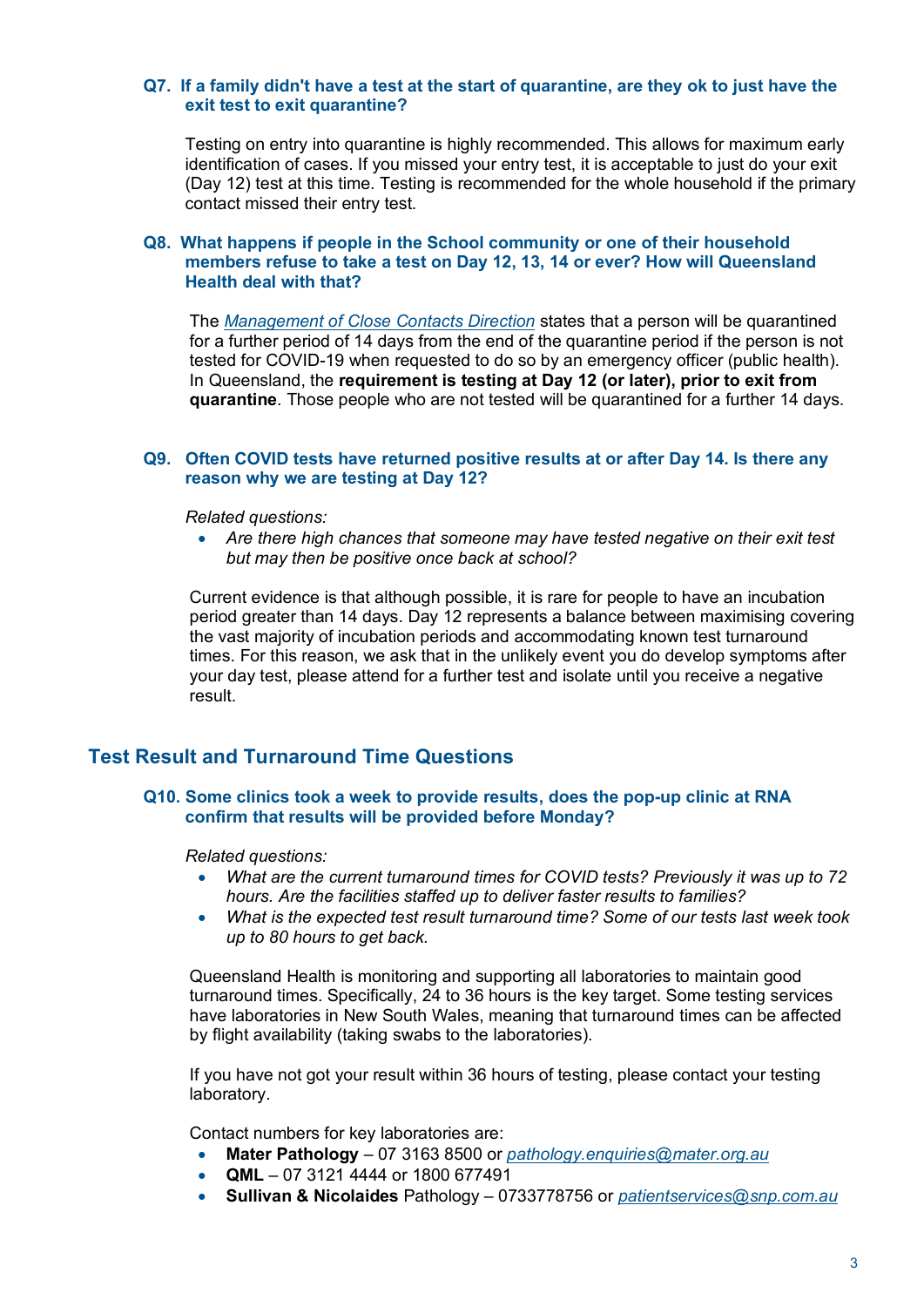# **Q7. If a family didn't have a test at the start of quarantine, are they ok to just have the exit test to exit quarantine?**

Testing on entry into quarantine is highly recommended. This allows for maximum early identification of cases. If you missed your entry test, it is acceptable to just do your exit (Day 12) test at this time. Testing is recommended for the whole household if the primary contact missed their entry test.

# **Q8. What happens if people in the School community or one of their household members refuse to take a test on Day 12, 13, 14 or ever? How will Queensland Health deal with that?**

The *Management of Close Contacts Direction* states that a person will be quarantined for a further period of 14 days from the end of the quarantine period if the person is not tested for COVID-19 when requested to do so by an emergency officer (public health). In Queensland, the **requirement is testing at Day 12 (or later), prior to exit from quarantine**. Those people who are not tested will be quarantined for a further 14 days.

# **Q9. Often COVID tests have returned positive results at or after Day 14. Is there any reason why we are testing at Day 12?**

*Related questions:*

• Are there high chances that someone may have tested negative on their exit test *but may then be positive once back at school?*

Current evidence is that although possible, it is rare for people to have an incubation period greater than 14 days. Day 12 represents a balance between maximising covering the vast majority of incubation periods and accommodating known test turnaround times. For this reason, we ask that in the unlikely event you do develop symptoms after your day test, please attend for a further test and isolate until you receive a negative result.

# **Test Result and Turnaround Time Questions**

## **Q10. Some clinics took a week to provide results, does the pop-up clinic at RNA confirm that results will be provided before Monday?**

*Related questions:*

- *What are the current turnaround times for COVID tests? Previously it was up to 72 hours. Are the facilities staffed up to deliver faster results to families?*
- *What is the expected test result turnaround time? Some of our tests last week took up to 80 hours to get back.*

Queensland Health is monitoring and supporting all laboratories to maintain good turnaround times. Specifically, 24 to 36 hours is the key target. Some testing services have laboratories in New South Wales, meaning that turnaround times can be affected by flight availability (taking swabs to the laboratories).

If you have not got your result within 36 hours of testing, please contact your testing laboratory.

Contact numbers for key laboratories are:

- **Mater Pathology** 07 3163 8500 or *pathology.enquiries@mater.org.au*
- **QML** 07 3121 4444 or 1800 677491
- **Sullivan & Nicolaides** Pathology 0733778756 or *patientservices@snp.com.au*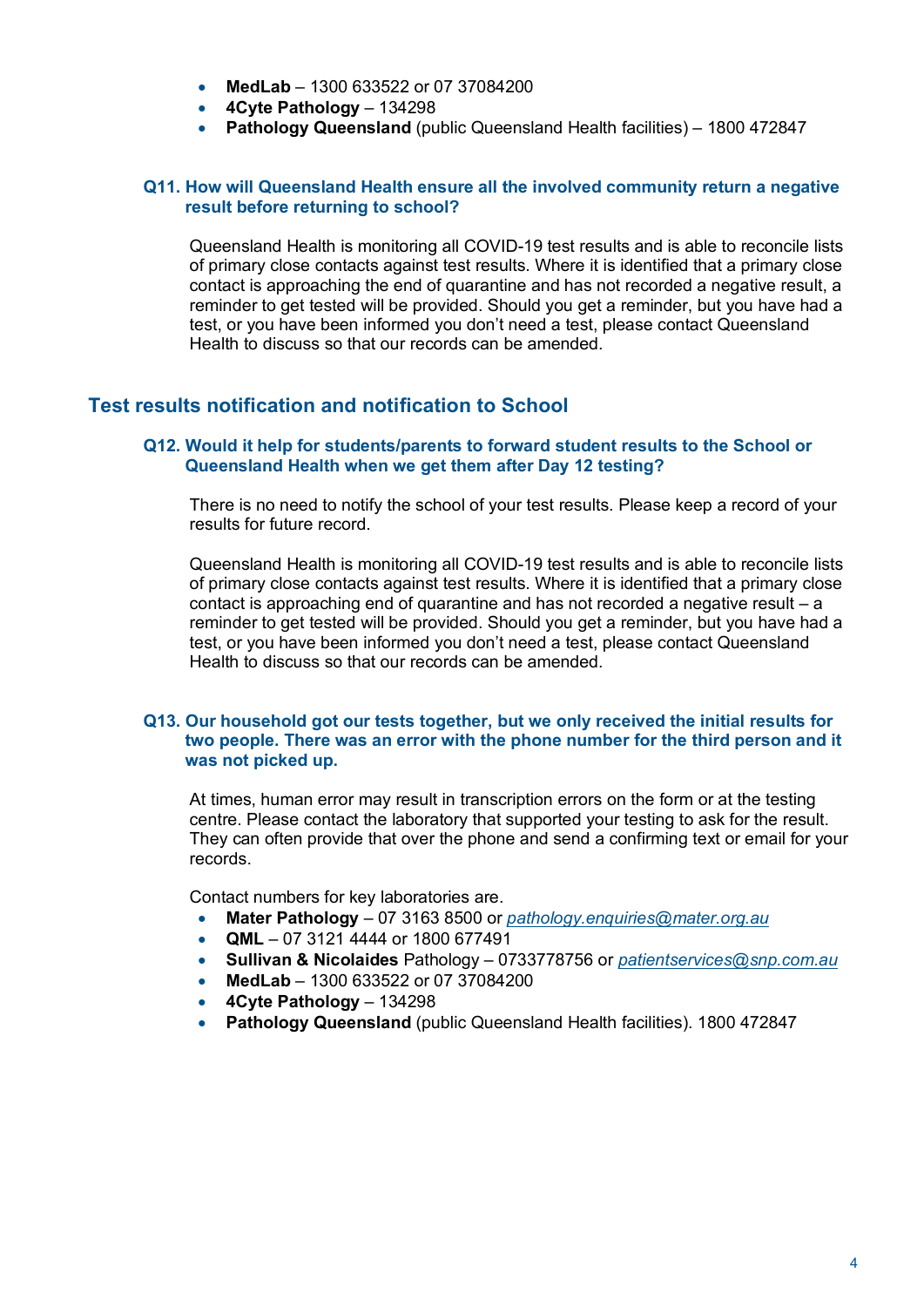- **MedLab** 1300 633522 or 07 37084200
- **4Cyte Pathology** 134298
- **Pathology Queensland** (public Queensland Health facilities) 1800 472847

# **Q11. How will Queensland Health ensure all the involved community return a negative result before returning to school?**

Queensland Health is monitoring all COVID-19 test results and is able to reconcile lists of primary close contacts against test results. Where it is identified that a primary close contact is approaching the end of quarantine and has not recorded a negative result, a reminder to get tested will be provided. Should you get a reminder, but you have had a test, or you have been informed you don't need a test, please contact Queensland Health to discuss so that our records can be amended.

# **Test results notification and notification to School**

# **Q12. Would it help for students/parents to forward student results to the School or Queensland Health when we get them after Day 12 testing?**

There is no need to notify the school of your test results. Please keep a record of your results for future record.

Queensland Health is monitoring all COVID-19 test results and is able to reconcile lists of primary close contacts against test results. Where it is identified that a primary close contact is approaching end of quarantine and has not recorded a negative result – a reminder to get tested will be provided. Should you get a reminder, but you have had a test, or you have been informed you don't need a test, please contact Queensland Health to discuss so that our records can be amended.

# **Q13. Our household got our tests together, but we only received the initial results for two people. There was an error with the phone number for the third person and it was not picked up.**

At times, human error may result in transcription errors on the form or at the testing centre. Please contact the laboratory that supported your testing to ask for the result. They can often provide that over the phone and send a confirming text or email for your records.

Contact numbers for key laboratories are.

- **Mater Pathology** 07 3163 8500 or *pathology.enquiries@mater.org.au*
- **QML** 07 3121 4444 or 1800 677491
- **Sullivan & Nicolaides** Pathology 0733778756 or *patientservices@snp.com.au*
- **MedLab** 1300 633522 or 07 37084200
- **4Cyte Pathology** 134298
- **Pathology Queensland** (public Queensland Health facilities). 1800 472847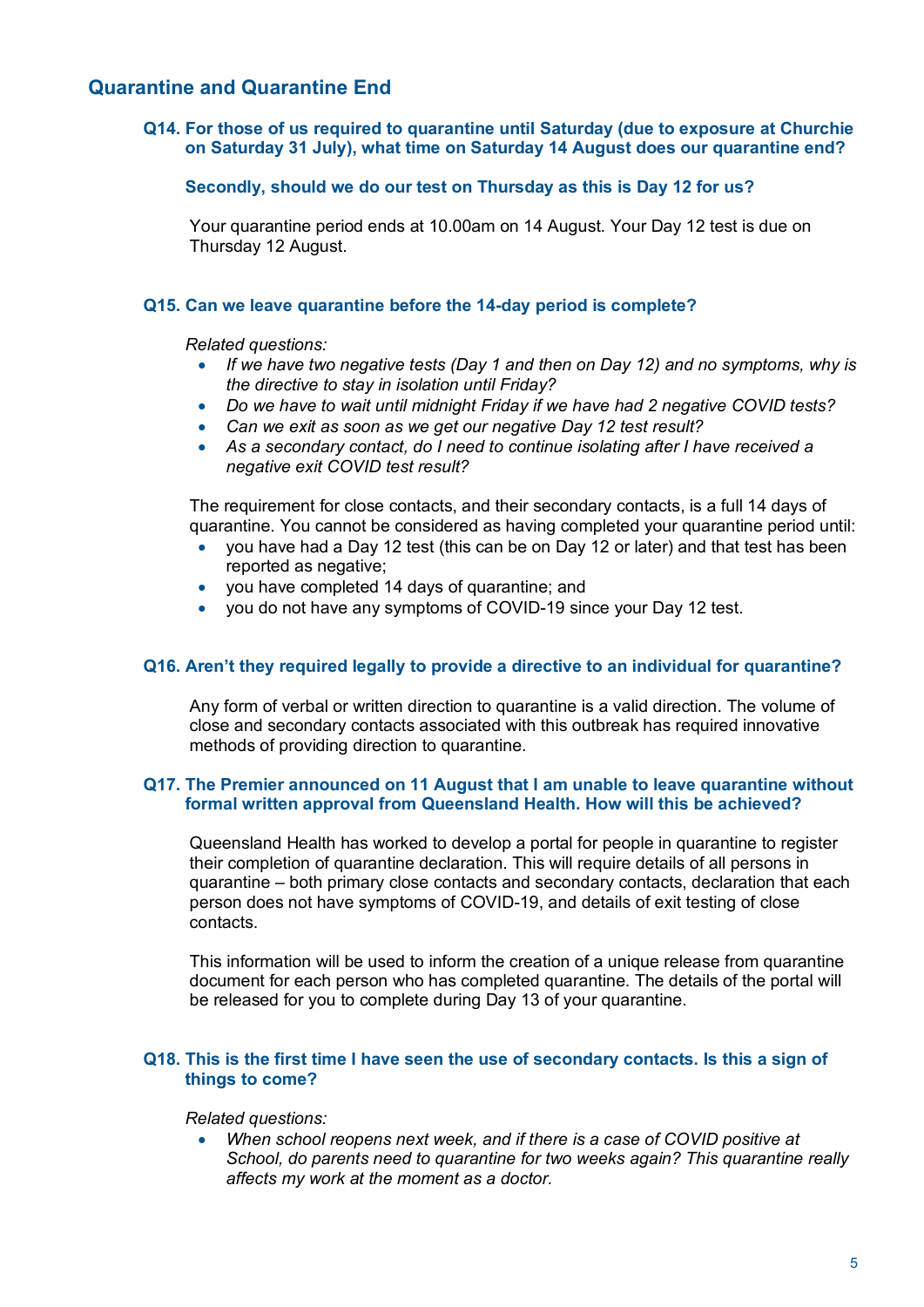# **Quarantine and Quarantine End**

# **Q14. For those of us required to quarantine until Saturday (due to exposure at Churchie on Saturday 31 July), what time on Saturday 14 August does our quarantine end?**

# **Secondly, should we do our test on Thursday as this is Day 12 for us?**

Your quarantine period ends at 10.00am on 14 August. Your Day 12 test is due on Thursday 12 August.

# **Q15. Can we leave quarantine before the 14-day period is complete?**

*Related questions:*

- *If we have two negative tests (Day 1 and then on Day 12) and no symptoms, why is the directive to stay in isolation until Friday?*
- *Do we have to wait until midnight Friday if we have had 2 negative COVID tests?*
- *Can we exit as soon as we get our negative Day 12 test result?*
- *As a secondary contact, do I need to continue isolating after I have received a negative exit COVID test result?*

The requirement for close contacts, and their secondary contacts, is a full 14 days of quarantine. You cannot be considered as having completed your quarantine period until:

- you have had a Day 12 test (this can be on Day 12 or later) and that test has been reported as negative;
- you have completed 14 days of quarantine; and
- you do not have any symptoms of COVID-19 since your Day 12 test.

## **Q16. Aren't they required legally to provide a directive to an individual for quarantine?**

Any form of verbal or written direction to quarantine is a valid direction. The volume of close and secondary contacts associated with this outbreak has required innovative methods of providing direction to quarantine.

## **Q17. The Premier announced on 11 August that I am unable to leave quarantine without formal written approval from Queensland Health. How will this be achieved?**

Queensland Health has worked to develop a portal for people in quarantine to register their completion of quarantine declaration. This will require details of all persons in quarantine – both primary close contacts and secondary contacts, declaration that each person does not have symptoms of COVID-19, and details of exit testing of close contacts.

This information will be used to inform the creation of a unique release from quarantine document for each person who has completed quarantine. The details of the portal will be released for you to complete during Day 13 of your quarantine.

# **Q18. This is the first time I have seen the use of secondary contacts. Is this a sign of things to come?**

#### *Related questions:*

• *When school reopens next week, and if there is a case of COVID positive at School, do parents need to quarantine for two weeks again? This quarantine really affects my work at the moment as a doctor.*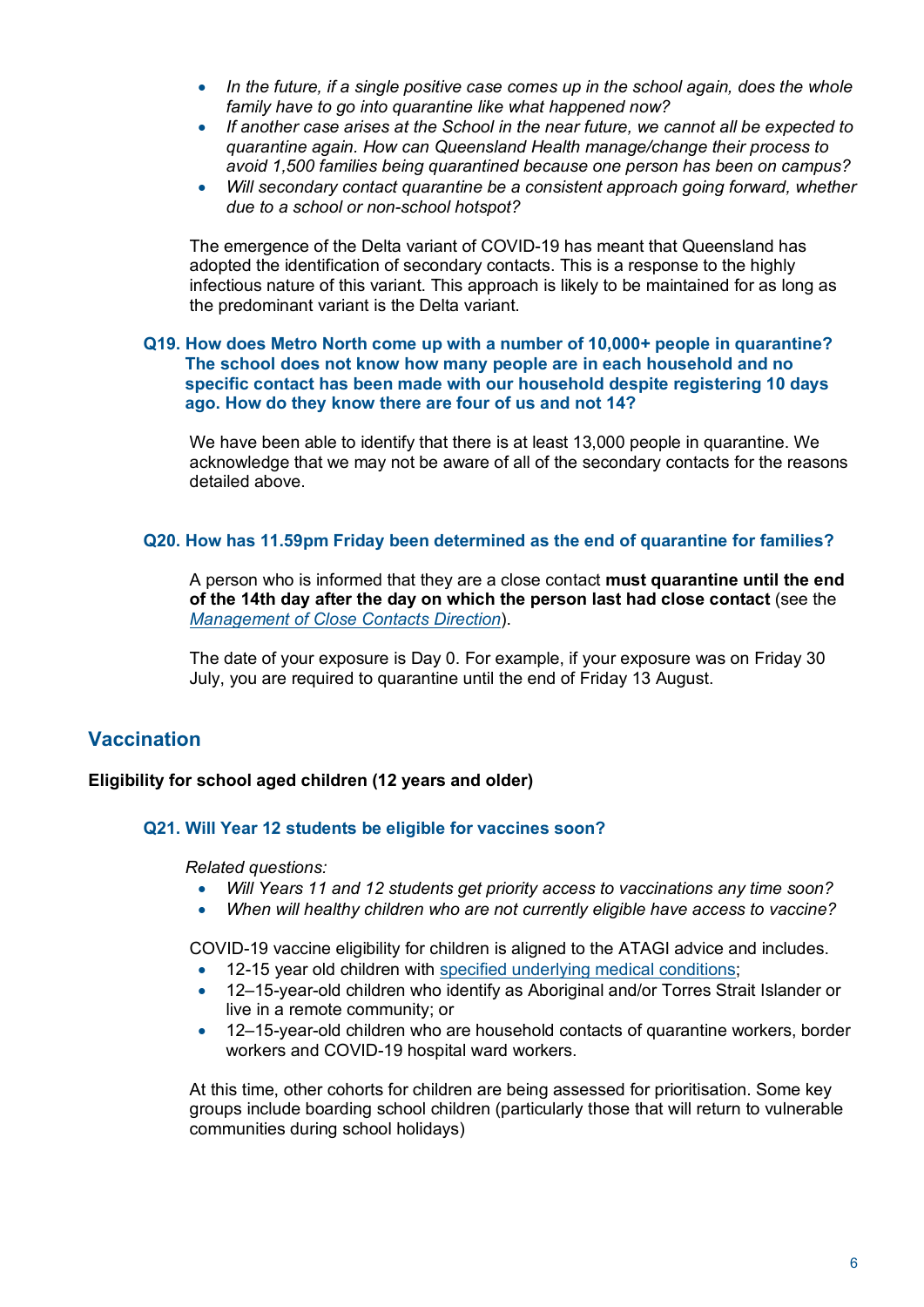- *In the future, if a single positive case comes up in the school again, does the whole family have to go into quarantine like what happened now?*
- *If another case arises at the School in the near future, we cannot all be expected to quarantine again. How can Queensland Health manage/change their process to avoid 1,500 families being quarantined because one person has been on campus?*
- *Will secondary contact quarantine be a consistent approach going forward, whether due to a school or non-school hotspot?*

The emergence of the Delta variant of COVID-19 has meant that Queensland has adopted the identification of secondary contacts. This is a response to the highly infectious nature of this variant. This approach is likely to be maintained for as long as the predominant variant is the Delta variant.

# **Q19. How does Metro North come up with a number of 10,000+ people in quarantine? The school does not know how many people are in each household and no specific contact has been made with our household despite registering 10 days ago. How do they know there are four of us and not 14?**

We have been able to identify that there is at least 13,000 people in quarantine. We acknowledge that we may not be aware of all of the secondary contacts for the reasons detailed above.

# **Q20. How has 11.59pm Friday been determined as the end of quarantine for families?**

A person who is informed that they are a close contact **must quarantine until the end of the 14th day after the day on which the person last had close contact** (see the *Management of Close Contacts Direction*).

The date of your exposure is Day 0. For example, if your exposure was on Friday 30 July, you are required to quarantine until the end of Friday 13 August.

# **Vaccination**

# **Eligibility for school aged children (12 years and older)**

# **Q21. Will Year 12 students be eligible for vaccines soon?**

*Related questions:*

- *Will Years 11 and 12 students get priority access to vaccinations any time soon?*
- *When will healthy children who are not currently eligible have access to vaccine?*

COVID-19 vaccine eligibility for children is aligned to the ATAGI advice and includes.

- 12-15 year old children with specified underlying medical conditions;
- 12–15-year-old children who identify as Aboriginal and/or Torres Strait Islander or live in a remote community; or
- 12–15-year-old children who are household contacts of quarantine workers, border workers and COVID-19 hospital ward workers.

At this time, other cohorts for children are being assessed for prioritisation. Some key groups include boarding school children (particularly those that will return to vulnerable communities during school holidays)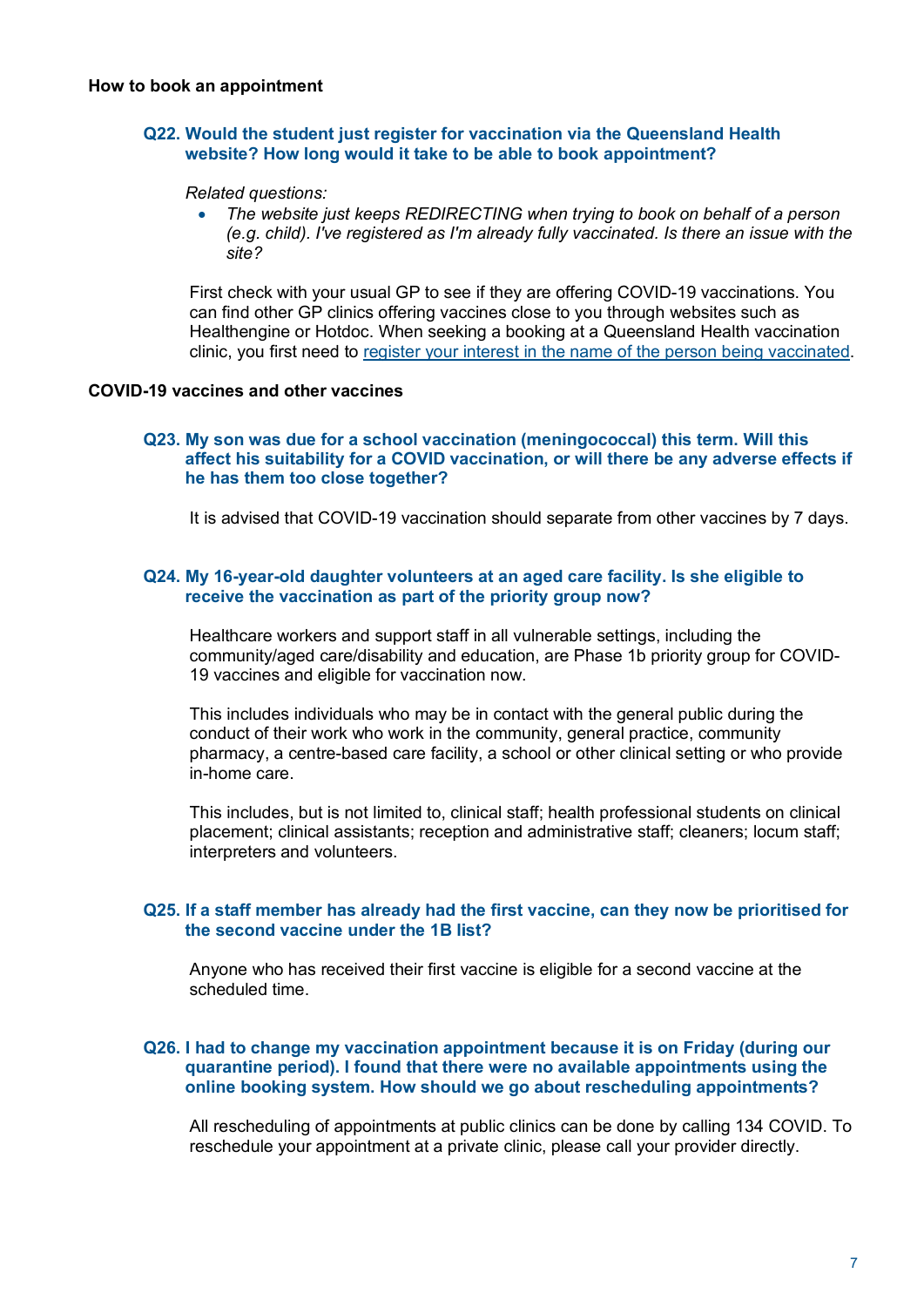# **Q22. Would the student just register for vaccination via the Queensland Health website? How long would it take to be able to book appointment?**

#### *Related questions:*

• *The website just keeps REDIRECTING when trying to book on behalf of a person (e.g. child). I've registered as I'm already fully vaccinated. Is there an issue with the site?*

First check with your usual GP to see if they are offering COVID-19 vaccinations. You can find other GP clinics offering vaccines close to you through websites such as Healthengine or Hotdoc. When seeking a booking at a Queensland Health vaccination clinic, you first need to register your interest in the name of the person being vaccinated.

# **COVID-19 vaccines and other vaccines**

### **Q23. My son was due for a school vaccination (meningococcal) this term. Will this affect his suitability for a COVID vaccination, or will there be any adverse effects if he has them too close together?**

It is advised that COVID-19 vaccination should separate from other vaccines by 7 days.

## **Q24. My 16-year-old daughter volunteers at an aged care facility. Is she eligible to receive the vaccination as part of the priority group now?**

Healthcare workers and support staff in all vulnerable settings, including the community/aged care/disability and education, are Phase 1b priority group for COVID-19 vaccines and eligible for vaccination now.

This includes individuals who may be in contact with the general public during the conduct of their work who work in the community, general practice, community pharmacy, a centre-based care facility, a school or other clinical setting or who provide in-home care.

This includes, but is not limited to, clinical staff; health professional students on clinical placement; clinical assistants; reception and administrative staff; cleaners; locum staff; interpreters and volunteers.

## **Q25. If a staff member has already had the first vaccine, can they now be prioritised for the second vaccine under the 1B list?**

Anyone who has received their first vaccine is eligible for a second vaccine at the scheduled time.

#### **Q26. I had to change my vaccination appointment because it is on Friday (during our quarantine period). I found that there were no available appointments using the online booking system. How should we go about rescheduling appointments?**

All rescheduling of appointments at public clinics can be done by calling 134 COVID. To reschedule your appointment at a private clinic, please call your provider directly.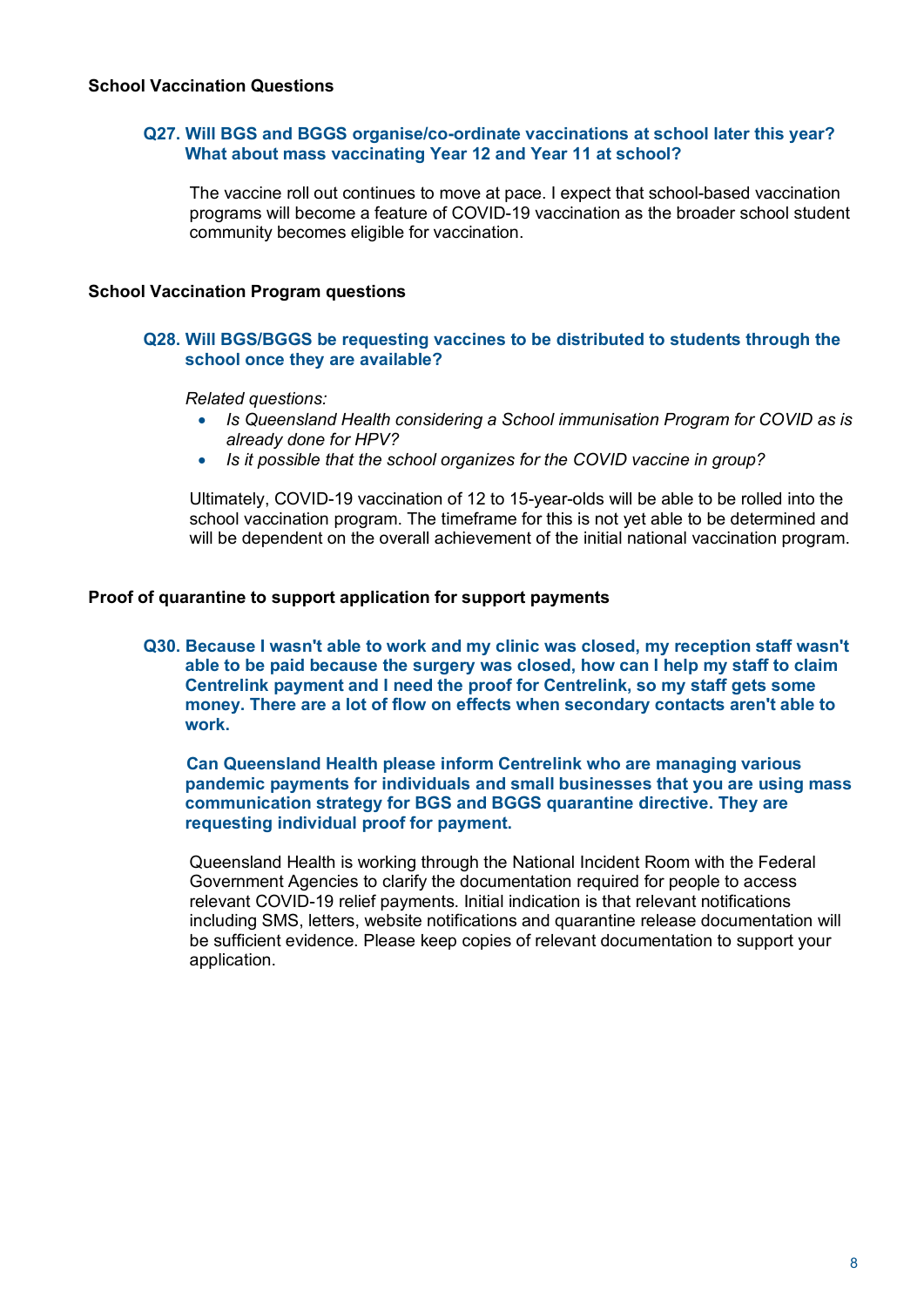# **Q27. Will BGS and BGGS organise/co-ordinate vaccinations at school later this year? What about mass vaccinating Year 12 and Year 11 at school?**

The vaccine roll out continues to move at pace. I expect that school-based vaccination programs will become a feature of COVID-19 vaccination as the broader school student community becomes eligible for vaccination.

# **School Vaccination Program questions**

# **Q28. Will BGS/BGGS be requesting vaccines to be distributed to students through the school once they are available?**

*Related questions:*

- *Is Queensland Health considering a School immunisation Program for COVID as is already done for HPV?*
- *Is it possible that the school organizes for the COVID vaccine in group?*

Ultimately, COVID-19 vaccination of 12 to 15-year-olds will be able to be rolled into the school vaccination program. The timeframe for this is not yet able to be determined and will be dependent on the overall achievement of the initial national vaccination program.

## **Proof of quarantine to support application for support payments**

**Q30. Because I wasn't able to work and my clinic was closed, my reception staff wasn't able to be paid because the surgery was closed, how can I help my staff to claim Centrelink payment and I need the proof for Centrelink, so my staff gets some money. There are a lot of flow on effects when secondary contacts aren't able to work.**

 **Can Queensland Health please inform Centrelink who are managing various pandemic payments for individuals and small businesses that you are using mass communication strategy for BGS and BGGS quarantine directive. They are requesting individual proof for payment.**

Queensland Health is working through the National Incident Room with the Federal Government Agencies to clarify the documentation required for people to access relevant COVID-19 relief payments. Initial indication is that relevant notifications including SMS, letters, website notifications and quarantine release documentation will be sufficient evidence. Please keep copies of relevant documentation to support your application.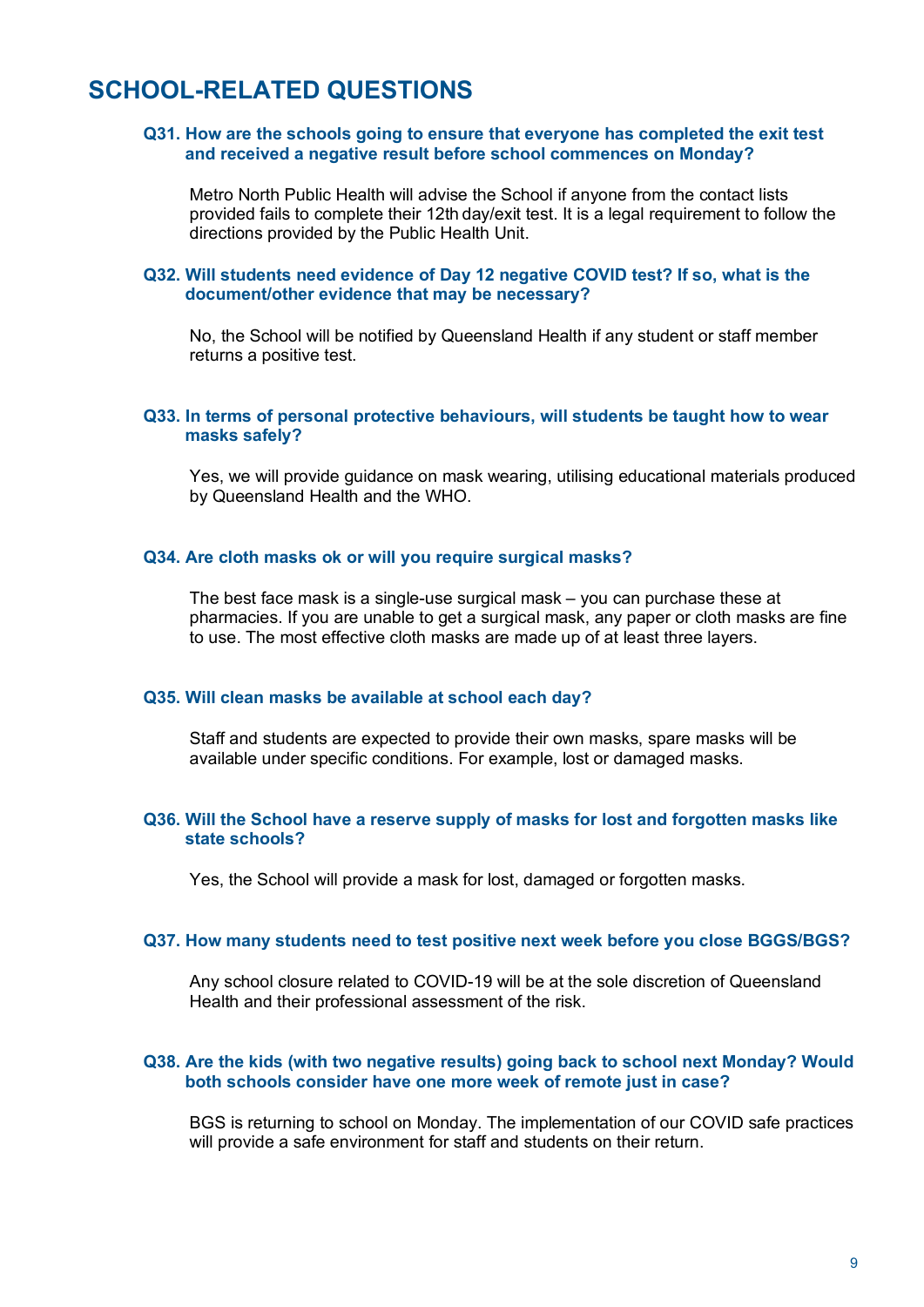# **SCHOOL-RELATED QUESTIONS**

# **Q31. How are the schools going to ensure that everyone has completed the exit test and received a negative result before school commences on Monday?**

Metro North Public Health will advise the School if anyone from the contact lists provided fails to complete their 12th day/exit test. It is a legal requirement to follow the directions provided by the Public Health Unit.

# **Q32. Will students need evidence of Day 12 negative COVID test? If so, what is the document/other evidence that may be necessary?**

No, the School will be notified by Queensland Health if any student or staff member returns a positive test.

### **Q33. In terms of personal protective behaviours, will students be taught how to wear masks safely?**

Yes, we will provide guidance on mask wearing, utilising educational materials produced by Queensland Health and the WHO.

#### **Q34. Are cloth masks ok or will you require surgical masks?**

The best face mask is a single-use surgical mask – you can purchase these at pharmacies. If you are unable to get a surgical mask, any paper or cloth masks are fine to use. The most effective cloth masks are made up of at least three layers.

#### **Q35. Will clean masks be available at school each day?**

Staff and students are expected to provide their own masks, spare masks will be available under specific conditions. For example, lost or damaged masks.

#### **Q36. Will the School have a reserve supply of masks for lost and forgotten masks like state schools?**

Yes, the School will provide a mask for lost, damaged or forgotten masks.

#### **Q37. How many students need to test positive next week before you close BGGS/BGS?**

Any school closure related to COVID-19 will be at the sole discretion of Queensland Health and their professional assessment of the risk.

#### **Q38. Are the kids (with two negative results) going back to school next Monday? Would both schools consider have one more week of remote just in case?**

BGS is returning to school on Monday. The implementation of our COVID safe practices will provide a safe environment for staff and students on their return.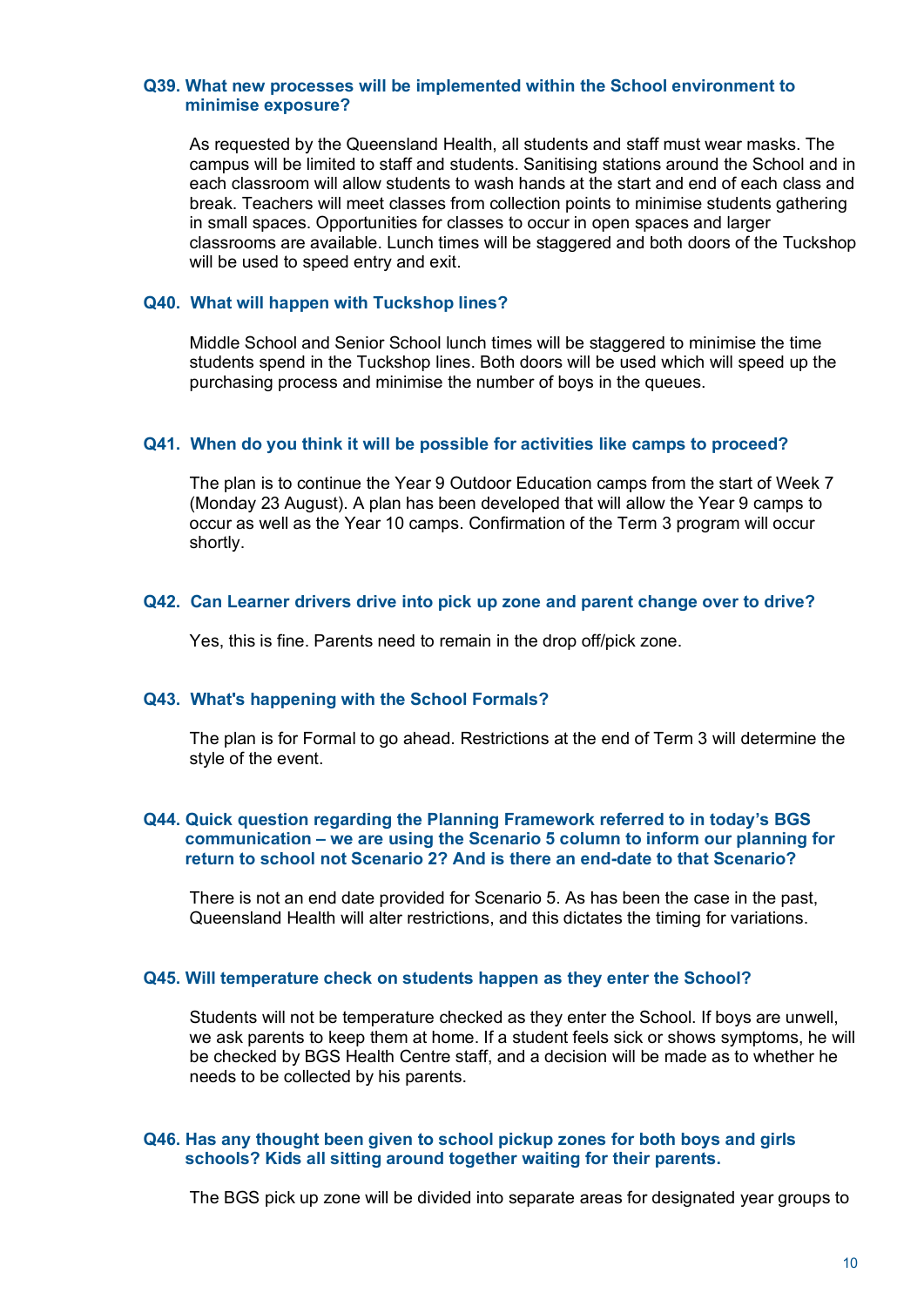#### **Q39. What new processes will be implemented within the School environment to minimise exposure?**

As requested by the Queensland Health, all students and staff must wear masks. The campus will be limited to staff and students. Sanitising stations around the School and in each classroom will allow students to wash hands at the start and end of each class and break. Teachers will meet classes from collection points to minimise students gathering in small spaces. Opportunities for classes to occur in open spaces and larger classrooms are available. Lunch times will be staggered and both doors of the Tuckshop will be used to speed entry and exit.

#### **Q40. What will happen with Tuckshop lines?**

Middle School and Senior School lunch times will be staggered to minimise the time students spend in the Tuckshop lines. Both doors will be used which will speed up the purchasing process and minimise the number of boys in the queues.

#### **Q41. When do you think it will be possible for activities like camps to proceed?**

The plan is to continue the Year 9 Outdoor Education camps from the start of Week 7 (Monday 23 August). A plan has been developed that will allow the Year 9 camps to occur as well as the Year 10 camps. Confirmation of the Term 3 program will occur shortly.

#### **Q42. Can Learner drivers drive into pick up zone and parent change over to drive?**

Yes, this is fine. Parents need to remain in the drop off/pick zone.

#### **Q43. What's happening with the School Formals?**

The plan is for Formal to go ahead. Restrictions at the end of Term 3 will determine the style of the event.

## **Q44. Quick question regarding the Planning Framework referred to in today's BGS communication – we are using the Scenario 5 column to inform our planning for return to school not Scenario 2? And is there an end-date to that Scenario?**

There is not an end date provided for Scenario 5. As has been the case in the past, Queensland Health will alter restrictions, and this dictates the timing for variations.

#### **Q45. Will temperature check on students happen as they enter the School?**

Students will not be temperature checked as they enter the School. If boys are unwell, we ask parents to keep them at home. If a student feels sick or shows symptoms, he will be checked by BGS Health Centre staff, and a decision will be made as to whether he needs to be collected by his parents.

#### **Q46. Has any thought been given to school pickup zones for both boys and girls schools? Kids all sitting around together waiting for their parents.**

The BGS pick up zone will be divided into separate areas for designated year groups to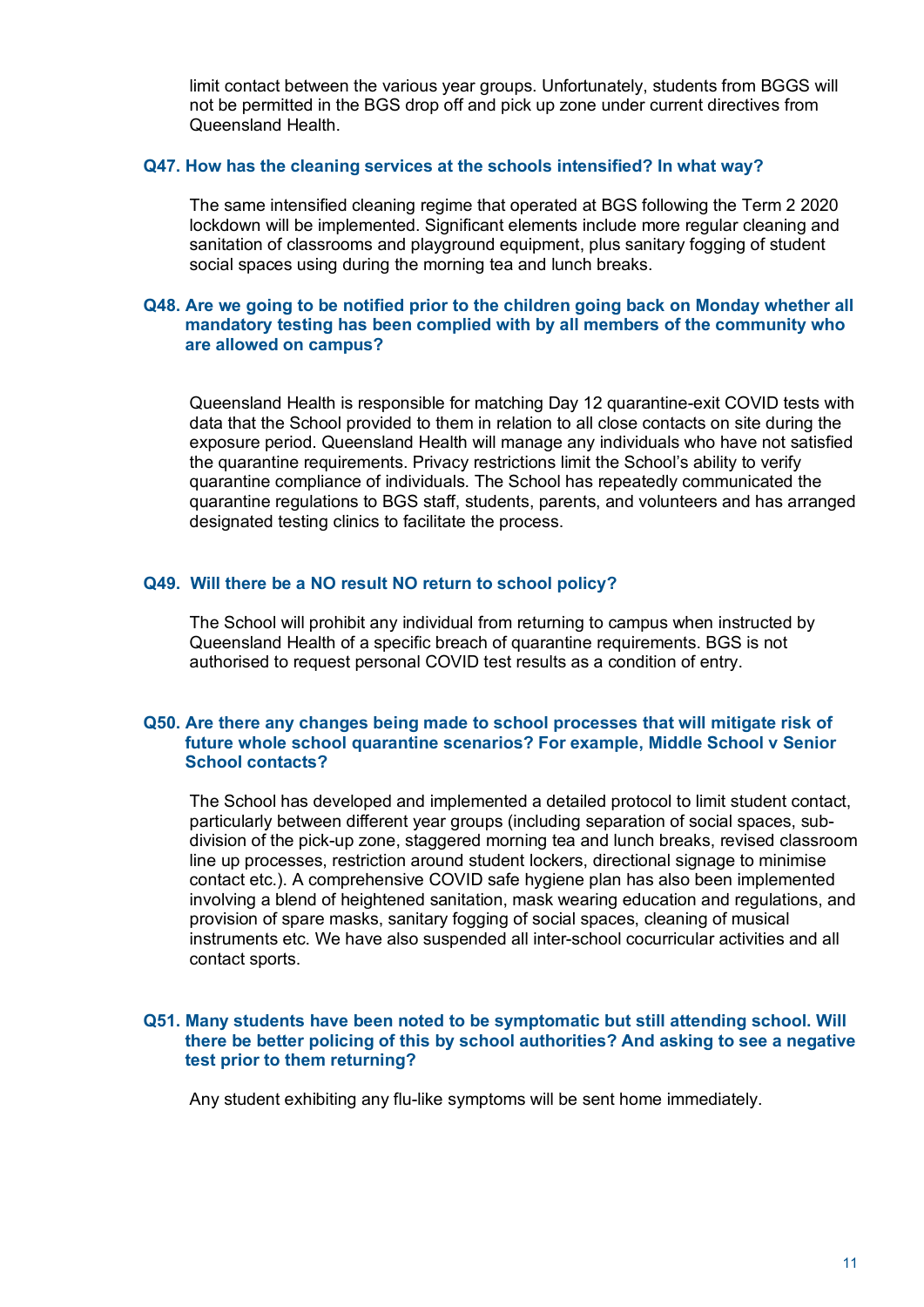limit contact between the various year groups. Unfortunately, students from BGGS will not be permitted in the BGS drop off and pick up zone under current directives from Queensland Health.

## **Q47. How has the cleaning services at the schools intensified? In what way?**

The same intensified cleaning regime that operated at BGS following the Term 2 2020 lockdown will be implemented. Significant elements include more regular cleaning and sanitation of classrooms and playground equipment, plus sanitary fogging of student social spaces using during the morning tea and lunch breaks.

# **Q48. Are we going to be notified prior to the children going back on Monday whether all mandatory testing has been complied with by all members of the community who are allowed on campus?**

Queensland Health is responsible for matching Day 12 quarantine-exit COVID tests with data that the School provided to them in relation to all close contacts on site during the exposure period. Queensland Health will manage any individuals who have not satisfied the quarantine requirements. Privacy restrictions limit the School's ability to verify quarantine compliance of individuals. The School has repeatedly communicated the quarantine regulations to BGS staff, students, parents, and volunteers and has arranged designated testing clinics to facilitate the process.

# **Q49. Will there be a NO result NO return to school policy?**

The School will prohibit any individual from returning to campus when instructed by Queensland Health of a specific breach of quarantine requirements. BGS is not authorised to request personal COVID test results as a condition of entry.

# **Q50. Are there any changes being made to school processes that will mitigate risk of future whole school quarantine scenarios? For example, Middle School v Senior School contacts?**

The School has developed and implemented a detailed protocol to limit student contact, particularly between different year groups (including separation of social spaces, subdivision of the pick-up zone, staggered morning tea and lunch breaks, revised classroom line up processes, restriction around student lockers, directional signage to minimise contact etc.). A comprehensive COVID safe hygiene plan has also been implemented involving a blend of heightened sanitation, mask wearing education and regulations, and provision of spare masks, sanitary fogging of social spaces, cleaning of musical instruments etc. We have also suspended all inter-school cocurricular activities and all contact sports.

# **Q51. Many students have been noted to be symptomatic but still attending school. Will there be better policing of this by school authorities? And asking to see a negative test prior to them returning?**

Any student exhibiting any flu-like symptoms will be sent home immediately.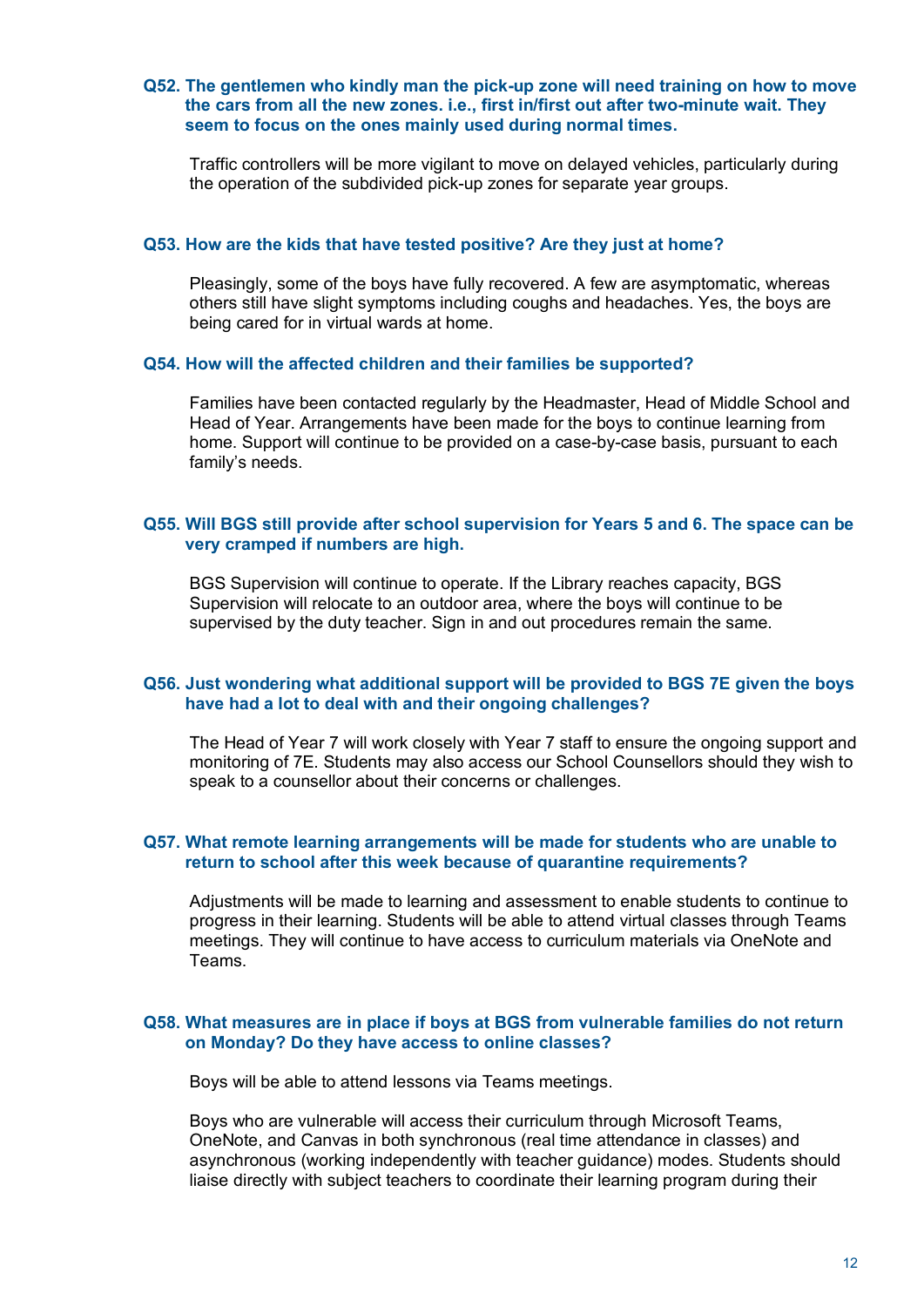## **Q52. The gentlemen who kindly man the pick-up zone will need training on how to move the cars from all the new zones. i.e., first in/first out after two-minute wait. They seem to focus on the ones mainly used during normal times.**

Traffic controllers will be more vigilant to move on delayed vehicles, particularly during the operation of the subdivided pick-up zones for separate year groups.

#### **Q53. How are the kids that have tested positive? Are they just at home?**

Pleasingly, some of the boys have fully recovered. A few are asymptomatic, whereas others still have slight symptoms including coughs and headaches. Yes, the boys are being cared for in virtual wards at home.

#### **Q54. How will the affected children and their families be supported?**

Families have been contacted regularly by the Headmaster, Head of Middle School and Head of Year. Arrangements have been made for the boys to continue learning from home. Support will continue to be provided on a case-by-case basis, pursuant to each family's needs.

# **Q55. Will BGS still provide after school supervision for Years 5 and 6. The space can be very cramped if numbers are high.**

BGS Supervision will continue to operate. If the Library reaches capacity, BGS Supervision will relocate to an outdoor area, where the boys will continue to be supervised by the duty teacher. Sign in and out procedures remain the same.

# **Q56. Just wondering what additional support will be provided to BGS 7E given the boys have had a lot to deal with and their ongoing challenges?**

The Head of Year 7 will work closely with Year 7 staff to ensure the ongoing support and monitoring of 7E. Students may also access our School Counsellors should they wish to speak to a counsellor about their concerns or challenges.

# **Q57. What remote learning arrangements will be made for students who are unable to return to school after this week because of quarantine requirements?**

Adjustments will be made to learning and assessment to enable students to continue to progress in their learning. Students will be able to attend virtual classes through Teams meetings. They will continue to have access to curriculum materials via OneNote and Teams.

## **Q58. What measures are in place if boys at BGS from vulnerable families do not return on Monday? Do they have access to online classes?**

Boys will be able to attend lessons via Teams meetings.

Boys who are vulnerable will access their curriculum through Microsoft Teams, OneNote, and Canvas in both synchronous (real time attendance in classes) and asynchronous (working independently with teacher guidance) modes. Students should liaise directly with subject teachers to coordinate their learning program during their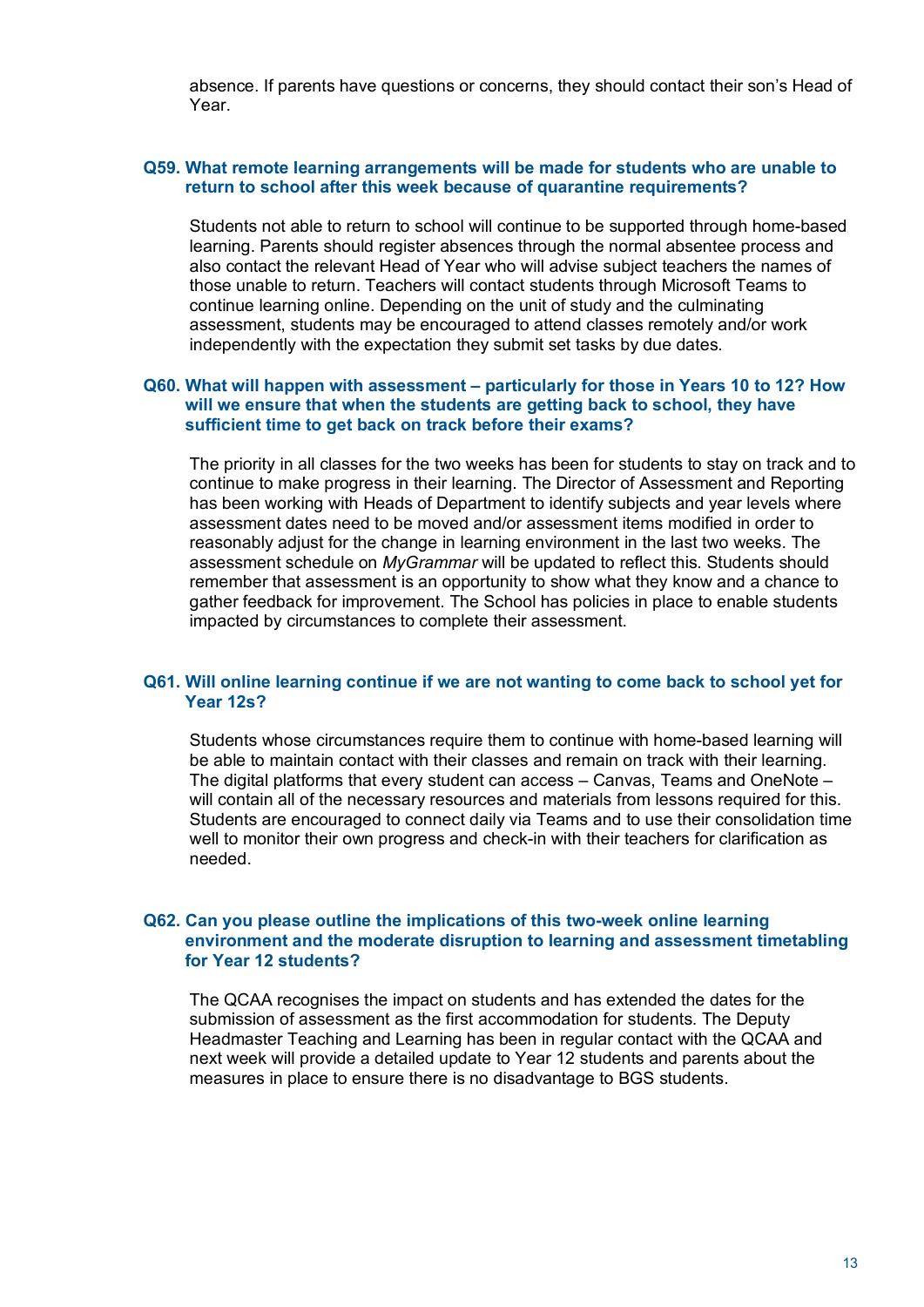absence. If parents have questions or concerns, they should contact their son's Head of Year.

# **Q59. What remote learning arrangements will be made for students who are unable to return to school after this week because of quarantine requirements?**

Students not able to return to school will continue to be supported through home-based learning. Parents should register absences through the normal absentee process and also contact the relevant Head of Year who will advise subject teachers the names of those unable to return. Teachers will contact students through Microsoft Teams to continue learning online. Depending on the unit of study and the culminating assessment, students may be encouraged to attend classes remotely and/or work independently with the expectation they submit set tasks by due dates.

# **Q60. What will happen with assessment – particularly for those in Years 10 to 12? How will we ensure that when the students are getting back to school, they have sufficient time to get back on track before their exams?**

The priority in all classes for the two weeks has been for students to stay on track and to continue to make progress in their learning. The Director of Assessment and Reporting has been working with Heads of Department to identify subjects and year levels where assessment dates need to be moved and/or assessment items modified in order to reasonably adjust for the change in learning environment in the last two weeks. The assessment schedule on *MyGrammar* will be updated to reflect this. Students should remember that assessment is an opportunity to show what they know and a chance to gather feedback for improvement. The School has policies in place to enable students impacted by circumstances to complete their assessment.

# **Q61. Will online learning continue if we are not wanting to come back to school yet for Year 12s?**

Students whose circumstances require them to continue with home-based learning will be able to maintain contact with their classes and remain on track with their learning. The digital platforms that every student can access – Canvas, Teams and OneNote – will contain all of the necessary resources and materials from lessons required for this. Students are encouraged to connect daily via Teams and to use their consolidation time well to monitor their own progress and check-in with their teachers for clarification as needed.

# **Q62. Can you please outline the implications of this two-week online learning environment and the moderate disruption to learning and assessment timetabling for Year 12 students?**

The QCAA recognises the impact on students and has extended the dates for the submission of assessment as the first accommodation for students. The Deputy Headmaster Teaching and Learning has been in regular contact with the QCAA and next week will provide a detailed update to Year 12 students and parents about the measures in place to ensure there is no disadvantage to BGS students.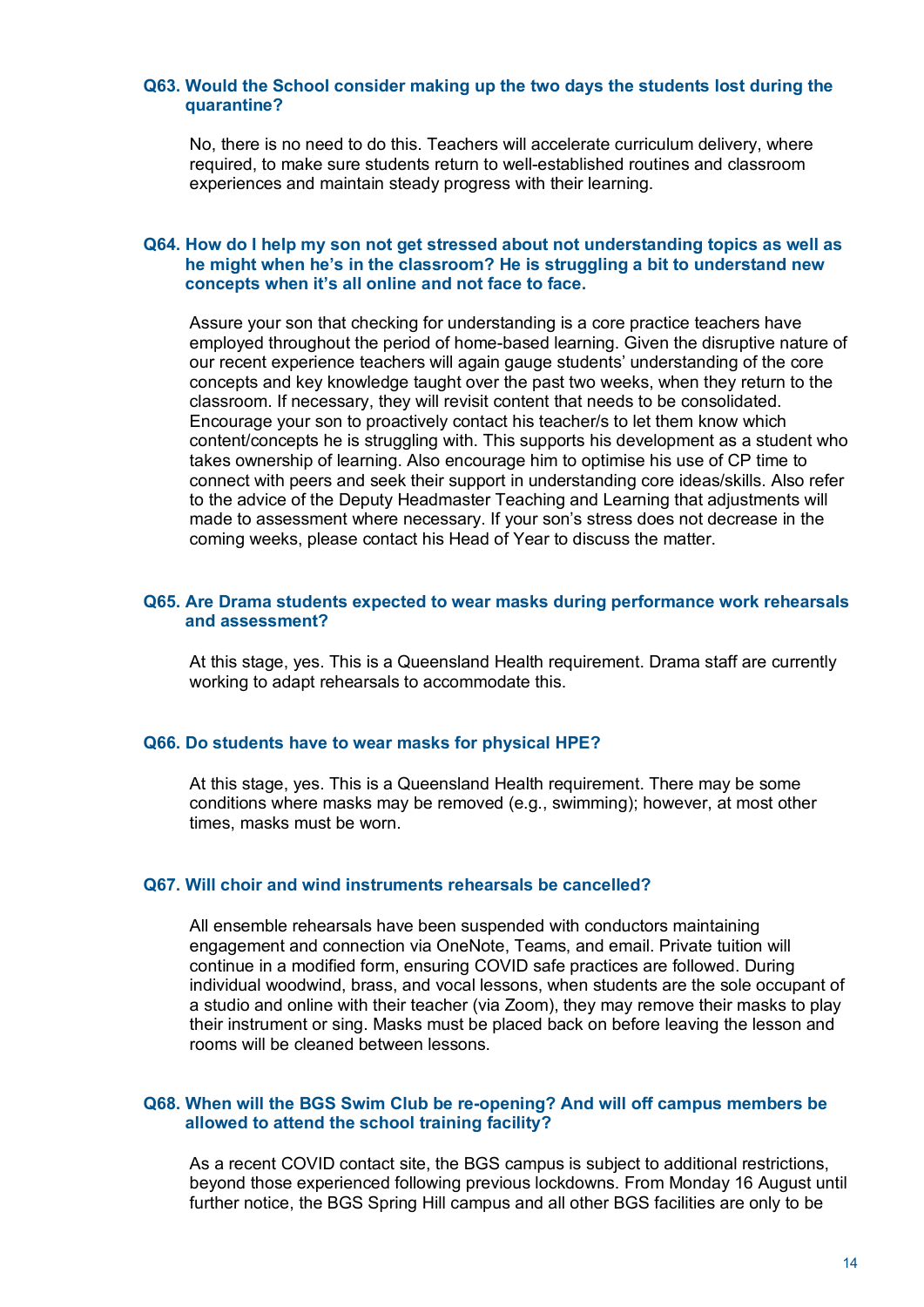### **Q63. Would the School consider making up the two days the students lost during the quarantine?**

No, there is no need to do this. Teachers will accelerate curriculum delivery, where required, to make sure students return to well-established routines and classroom experiences and maintain steady progress with their learning.

### **Q64. How do I help my son not get stressed about not understanding topics as well as he might when he's in the classroom? He is struggling a bit to understand new concepts when it's all online and not face to face.**

Assure your son that checking for understanding is a core practice teachers have employed throughout the period of home-based learning. Given the disruptive nature of our recent experience teachers will again gauge students' understanding of the core concepts and key knowledge taught over the past two weeks, when they return to the classroom. If necessary, they will revisit content that needs to be consolidated. Encourage your son to proactively contact his teacher/s to let them know which content/concepts he is struggling with. This supports his development as a student who takes ownership of learning. Also encourage him to optimise his use of CP time to connect with peers and seek their support in understanding core ideas/skills. Also refer to the advice of the Deputy Headmaster Teaching and Learning that adjustments will made to assessment where necessary. If your son's stress does not decrease in the coming weeks, please contact his Head of Year to discuss the matter.

# **Q65. Are Drama students expected to wear masks during performance work rehearsals and assessment?**

At this stage, yes. This is a Queensland Health requirement. Drama staff are currently working to adapt rehearsals to accommodate this.

# **Q66. Do students have to wear masks for physical HPE?**

At this stage, yes. This is a Queensland Health requirement. There may be some conditions where masks may be removed (e.g., swimming); however, at most other times, masks must be worn.

#### **Q67. Will choir and wind instruments rehearsals be cancelled?**

All ensemble rehearsals have been suspended with conductors maintaining engagement and connection via OneNote, Teams, and email. Private tuition will continue in a modified form, ensuring COVID safe practices are followed. During individual woodwind, brass, and vocal lessons, when students are the sole occupant of a studio and online with their teacher (via Zoom), they may remove their masks to play their instrument or sing. Masks must be placed back on before leaving the lesson and rooms will be cleaned between lessons.

### **Q68. When will the BGS Swim Club be re-opening? And will off campus members be allowed to attend the school training facility?**

As a recent COVID contact site, the BGS campus is subject to additional restrictions, beyond those experienced following previous lockdowns. From Monday 16 August until further notice, the BGS Spring Hill campus and all other BGS facilities are only to be